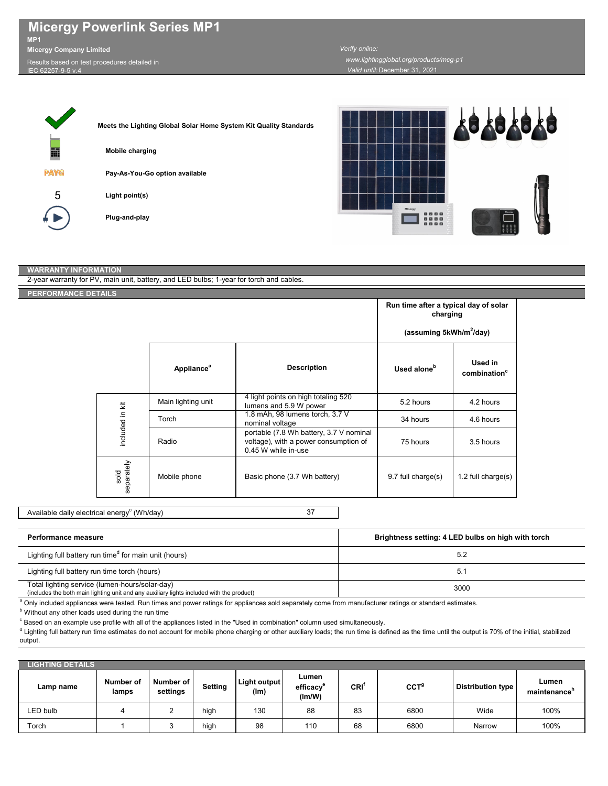| <b>Micergy Powerlink Series MP1</b> |
|-------------------------------------|
| MP <sub>1</sub>                     |
| <b>Micergy Company Limited</b>      |

 $s$ ults based on test procedures detailed in **IEC 62257** 

Г

## *Valid until:* December 31, 2021 *Verify online: www.lightingglobal.org/products/mcg-p1*

| Meets the Lighting Global Solar Home System Kit Quality Standards |
|-------------------------------------------------------------------|
| <b>Mobile charging</b>                                            |
| Pay-As-You-Go option available                                    |
| Light point(s)                                                    |
| Plug-and-play                                                     |
|                                                                   |



|  | PERFORMANCE DETAILS |                        |                                                                                                         |                                                   |                                     |  |
|--|---------------------|------------------------|---------------------------------------------------------------------------------------------------------|---------------------------------------------------|-------------------------------------|--|
|  |                     |                        |                                                                                                         | Run time after a typical day of solar<br>charging |                                     |  |
|  |                     |                        |                                                                                                         | (assuming 5kWh/m <sup>2</sup> /day)               |                                     |  |
|  |                     | Appliance <sup>a</sup> | <b>Description</b>                                                                                      | Used alone <sup>b</sup>                           | Used in<br>combination <sup>c</sup> |  |
|  |                     | Main lighting unit     | 4 light points on high totaling 520<br>lumens and 5.9 W power                                           | 5.2 hours                                         | 4.2 hours                           |  |
|  |                     | Torch                  | 1.8 mAh, 98 lumens torch, 3.7 V<br>nominal voltage                                                      | 34 hours                                          | 4.6 hours                           |  |
|  | included in kit     | Radio                  | portable (7.8 Wh battery, 3.7 V nominal<br>voltage), with a power consumption of<br>0.45 W while in-use | 75 hours                                          | 3.5 hours                           |  |
|  | sold<br>separately  | Mobile phone           | Basic phone (3.7 Wh battery)                                                                            | 9.7 full charge(s)                                | 1.2 full charge(s)                  |  |

Available daily electrical energy $^{\rm c}$  (Wh/day)

| <b>Performance measure</b>                                                                                                                  | Brightness setting: 4 LED bulbs on high with torch |
|---------------------------------------------------------------------------------------------------------------------------------------------|----------------------------------------------------|
| Lighting full battery run time <sup>d</sup> for main unit (hours)                                                                           | 5.2                                                |
| Lighting full battery run time torch (hours)                                                                                                | 5.1                                                |
| Total lighting service (lumen-hours/solar-day)<br>(includes the both main lighting unit and any auxiliary lights included with the product) | 3000                                               |

a Only included appliances were tested. Run times and power ratings for appliances sold separately come from manufacturer ratings or standard estimates.

**b** Without any other loads used during the run time

 $\degree$  Based on an example use profile with all of the appliances listed in the "Used in combination" column used simultaneously.

d Lighting full battery run time estimates do not account for mobile phone charging or other auxiliary loads; the run time is defined as the time until the output is 70% of the initial, stabilized output.

| <b>LIGHTING DETAILS</b> |                           |                       |         |                      |                             |            |                  |                   |                      |
|-------------------------|---------------------------|-----------------------|---------|----------------------|-----------------------------|------------|------------------|-------------------|----------------------|
| Lamp name               | <b>Number of</b><br>lamps | Number of<br>settings | Setting | Light output<br>(lm) | Lumen<br>efficacy<br>(lm/W) | <b>CRI</b> | ccT <sup>9</sup> | Distribution type | Lumen<br>maintenance |
| LED bulb                |                           | ∼                     | high    | 130                  | 88                          | 83         | 6800             | Wide              | 100%                 |
| Torch                   |                           |                       | high    | 98                   | 110                         | 68         | 6800             | Narrow            | 100%                 |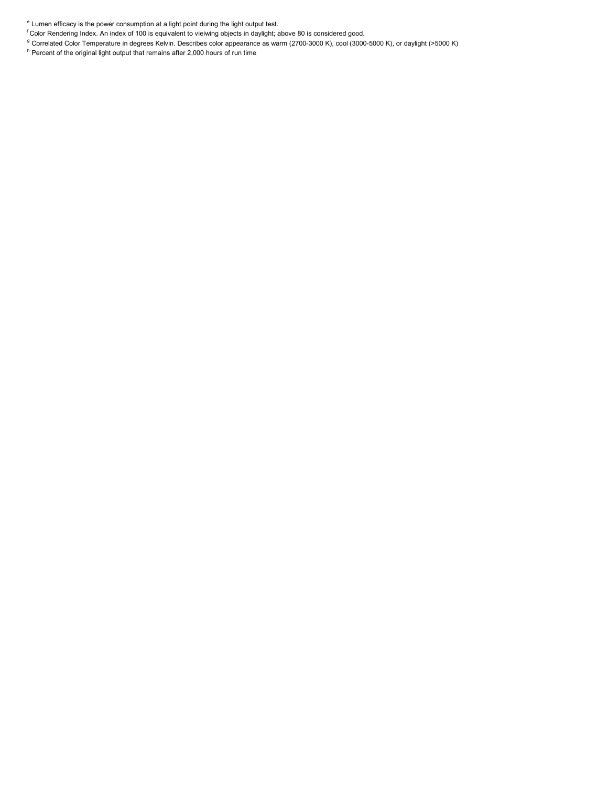f Color Rendering Index. An index of 100 is equivalent to vieiwing objects in daylight; above 80 is considered good.

 $^{\rm g}$  Correlated Color Temperature in degrees Kelvin. Describes color appearance as warm (2700-3000 K), cool (3000-5000 K), or daylight (>5000 K)

 $^{\circ}$  Percent of the original light output that remains after 2,000 hours of run time

 $\mathring{\mathsf{r}}$  Lumen efficacy is the power consumption at a light point during the light output test.